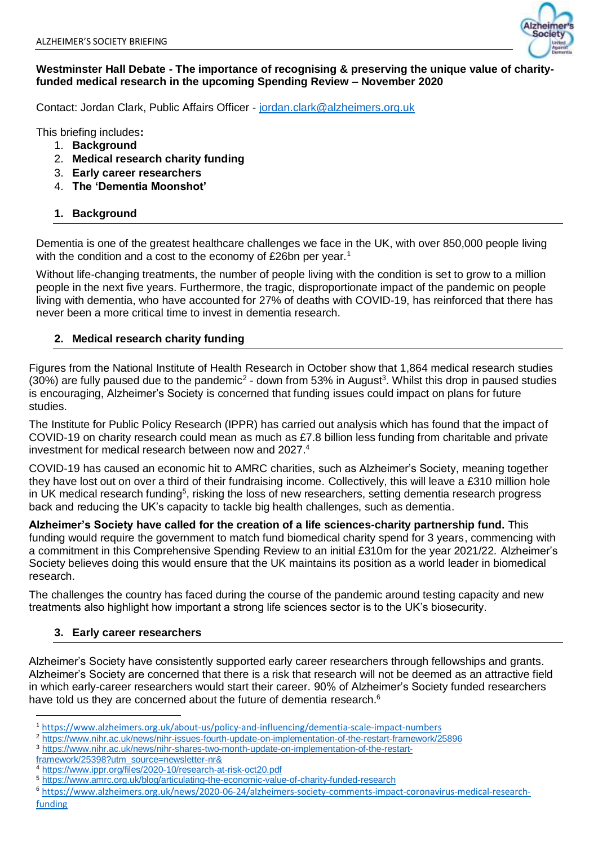

### **Westminster Hall Debate - The importance of recognising & preserving the unique value of charityfunded medical research in the upcoming Spending Review – November 2020**

Contact: Jordan Clark, Public Affairs Officer - [jordan.clark@alzheimers.org.uk](mailto:jordan.clark@alzheimers.org.uk)

This briefing includes**:**

- 1. **Background**
- 2. **Medical research charity funding**
- 3. **Early career researchers**
- 4. **The 'Dementia Moonshot'**

## **1. Background**

Dementia is one of the greatest healthcare challenges we face in the UK, with over 850,000 people living with the condition and a cost to the economy of £26bn per year.<sup>1</sup>

Without life-changing treatments, the number of people living with the condition is set to grow to a million people in the next five years. Furthermore, the tragic, disproportionate impact of the pandemic on people living with dementia, who have accounted for 27% of deaths with COVID-19, has reinforced that there has never been a more critical time to invest in dementia research.

## **2. Medical research charity funding**

Figures from the National Institute of Health Research in October show that 1,864 medical research studies  $(30%)$  are fully paused due to the pandemic<sup>2</sup> - down from 53% in August<sup>3</sup>. Whilst this drop in paused studies is encouraging, Alzheimer's Society is concerned that funding issues could impact on plans for future studies.

The Institute for Public Policy Research (IPPR) has carried out analysis which has found that the impact of COVID-19 on charity research could mean as much as £7.8 billion less funding from charitable and private investment for medical research between now and 2027. 4

COVID-19 has caused an economic hit to AMRC charities, such as Alzheimer's Society, meaning together they have lost out on over a third of their fundraising income. Collectively, this will leave a £310 million hole in UK medical research funding<sup>5</sup>, risking the loss of new researchers, setting dementia research progress back and reducing the UK's capacity to tackle big health challenges, such as dementia.

**Alzheimer's Society have called for the creation of a life sciences-charity partnership fund.** This funding would require the government to match fund biomedical charity spend for 3 years, commencing with a commitment in this Comprehensive Spending Review to an initial £310m for the year 2021/22. Alzheimer's Society believes doing this would ensure that the UK maintains its position as a world leader in biomedical research.

The challenges the country has faced during the course of the pandemic around testing capacity and new treatments also highlight how important a strong life sciences sector is to the UK's biosecurity.

# **3. Early career researchers**

Alzheimer's Society have consistently supported early career researchers through fellowships and grants. Alzheimer's Society are concerned that there is a risk that research will not be deemed as an attractive field in which early-career researchers would start their career. 90% of Alzheimer's Society funded researchers have told us they are concerned about the future of dementia research.<sup>6</sup>

1

<sup>1</sup> <https://www.alzheimers.org.uk/about-us/policy-and-influencing/dementia-scale-impact-numbers>

<sup>2</sup> <https://www.nihr.ac.uk/news/nihr-issues-fourth-update-on-implementation-of-the-restart-framework/25896>

<sup>3</sup> [https://www.nihr.ac.uk/news/nihr-shares-two-month-update-on-implementation-of-the-restart-](https://www.nihr.ac.uk/news/nihr-shares-two-month-update-on-implementation-of-the-restart-framework/25398?utm_source=newsletter-nr&)

[framework/25398?utm\\_source=newsletter-nr&](https://www.nihr.ac.uk/news/nihr-shares-two-month-update-on-implementation-of-the-restart-framework/25398?utm_source=newsletter-nr&)

<sup>4</sup> <https://www.ippr.org/files/2020-10/research-at-risk-oct20.pdf>

<sup>5</sup> <https://www.amrc.org.uk/blog/articulating-the-economic-value-of-charity-funded-research>

<sup>6</sup> [https://www.alzheimers.org.uk/news/2020-06-24/alzheimers-society-comments-impact-coronavirus-medical-research](https://www.alzheimers.org.uk/news/2020-06-24/alzheimers-society-comments-impact-coronavirus-medical-research-funding)[funding](https://www.alzheimers.org.uk/news/2020-06-24/alzheimers-society-comments-impact-coronavirus-medical-research-funding)